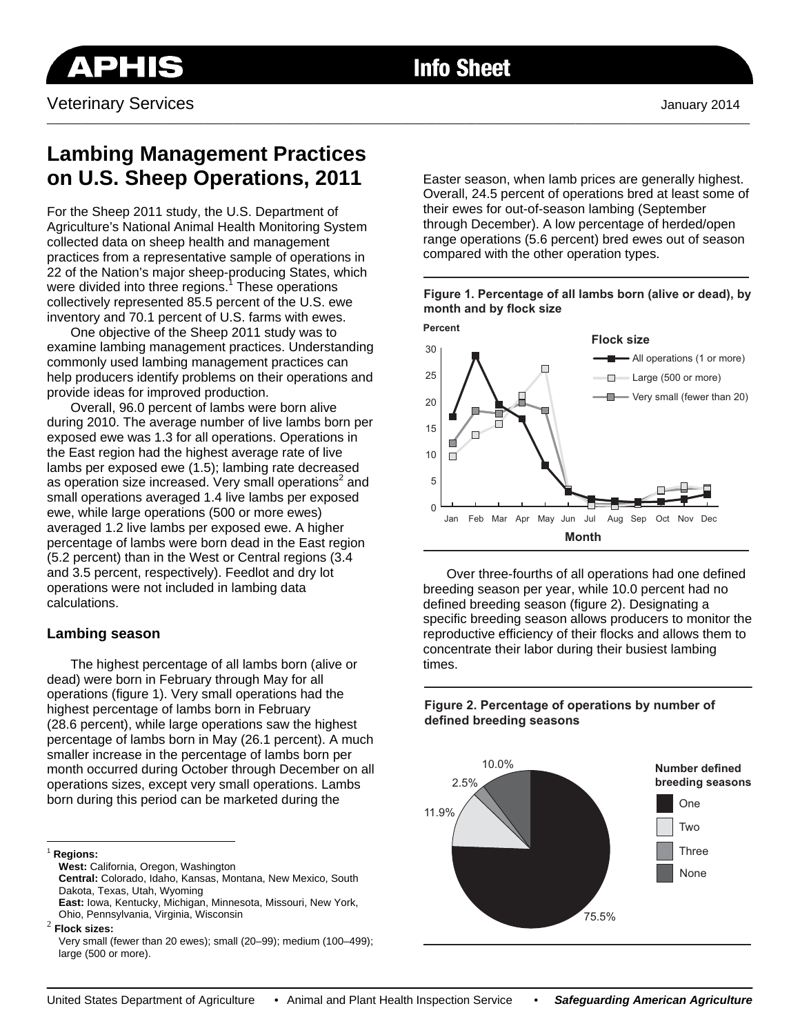

# **Info Sheet**

\_\_\_\_\_\_\_\_\_\_\_\_\_\_\_\_\_\_\_\_\_\_\_\_\_\_\_\_\_\_\_\_\_\_\_\_\_\_\_\_\_\_\_\_\_\_\_\_\_\_\_\_\_\_\_\_\_\_\_\_\_\_\_\_\_\_\_\_\_\_\_\_\_\_\_\_\_\_\_\_\_\_\_\_\_\_\_\_\_\_\_\_\_\_\_\_\_\_\_\_\_\_\_\_\_\_\_\_\_\_\_\_\_\_\_\_\_\_\_\_\_

# **Lambing Management Practices on U.S. Sheep Operations, 2011**

For the Sheep 2011 study, the U.S. Department of Agriculture's National Animal Health Monitoring System collected data on sheep health and management practices from a representative sample of operations in 22 of the Nation's major sheep-producing States, which were divided into three regions.<sup>1</sup> These operations collectively represented 85.5 percent of the U.S. ewe inventory and 70.1 percent of U.S. farms with ewes.

One objective of the Sheep 2011 study was to examine lambing management practices. Understanding commonly used lambing management practices can help producers identify problems on their operations and provide ideas for improved production.

Overall, 96.0 percent of lambs were born alive during 2010. The average number of live lambs born per exposed ewe was 1.3 for all operations. Operations in the East region had the highest average rate of live lambs per exposed ewe (1.5); lambing rate decreased as operation size increased. Very small operations<sup>2</sup> and small operations averaged 1.4 live lambs per exposed ewe, while large operations (500 or more ewes) averaged 1.2 live lambs per exposed ewe. A higher percentage of lambs were born dead in the East region (5.2 percent) than in the West or Central regions (3.4 and 3.5 percent, respectively). Feedlot and dry lot operations were not included in lambing data calculations.

## **Lambing season**

The highest percentage of all lambs born (alive or dead) were born in February through May for all operations (figure 1). Very small operations had the highest percentage of lambs born in February (28.6 percent), while large operations saw the highest percentage of lambs born in May (26.1 percent). A much smaller increase in the percentage of lambs born per month occurred during October through December on all operations sizes, except very small operations. Lambs born during this period can be marketed during the

**Central:** Colorado, Idaho, Kansas, Montana, New Mexico, South Dakota, Texas, Utah, Wyoming

Easter season, when lamb prices are generally highest. Overall, 24.5 percent of operations bred at least some of their ewes for out-of-season lambing (September through December). A low percentage of herded/open range operations (5.6 percent) bred ewes out of season compared with the other operation types.

#### **Figure 1. Percentage of all lambs born (alive or dead), by month and by flock size**



Over three-fourths of all operations had one defined breeding season per year, while 10.0 percent had no defined breeding season (figure 2). Designating a specific breeding season allows producers to monitor the reproductive efficiency of their flocks and allows them to concentrate their labor during their busiest lambing times.



**Figure 2. Percentage of operations by number of defined breeding seasons**

 $\overline{a}$ <sup>1</sup> **Regions:**

**West:** California, Oregon, Washington

**East:** Iowa, Kentucky, Michigan, Minnesota, Missouri, New York, Ohio, Pennsylvania, Virginia, Wisconsin <sup>2</sup> **Flock sizes:** 

Very small (fewer than 20 ewes); small (20–99); medium (100–499); large (500 or more).